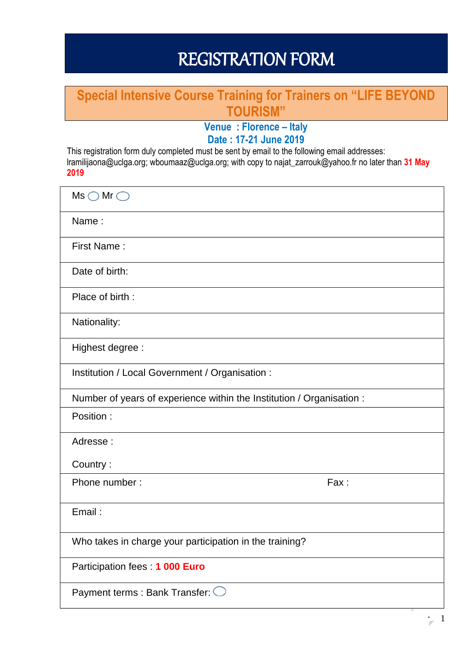# REGISTRATION FORM

## **Special Intensive Course Training for Trainers on "LIFE BEYOND TOURISM"**

## **Venue : Florence – Italy Date : 17-21 June 2019**

This registration form duly completed must be sent by email to the following email addresses: lramilijaona@uclga.org; wboumaaz@uclga.org; with copy to najat\_zarrouk@yahoo.fr no later than **31 May 2019**

| $Ms \bigcirc Mr \bigcirc$                                             |  |  |
|-----------------------------------------------------------------------|--|--|
| Name:                                                                 |  |  |
| First Name:                                                           |  |  |
| Date of birth:                                                        |  |  |
| Place of birth:                                                       |  |  |
| Nationality:                                                          |  |  |
| Highest degree :                                                      |  |  |
| Institution / Local Government / Organisation :                       |  |  |
| Number of years of experience within the Institution / Organisation : |  |  |
| Position:                                                             |  |  |
| Adresse:                                                              |  |  |
| Country:                                                              |  |  |
| Phone number:<br>Fax:                                                 |  |  |
| Email:                                                                |  |  |
| Who takes in charge your participation in the training?               |  |  |
| Participation fees: 1 000 Euro                                        |  |  |
| Payment terms : Bank Transfer: $\bigcirc$                             |  |  |